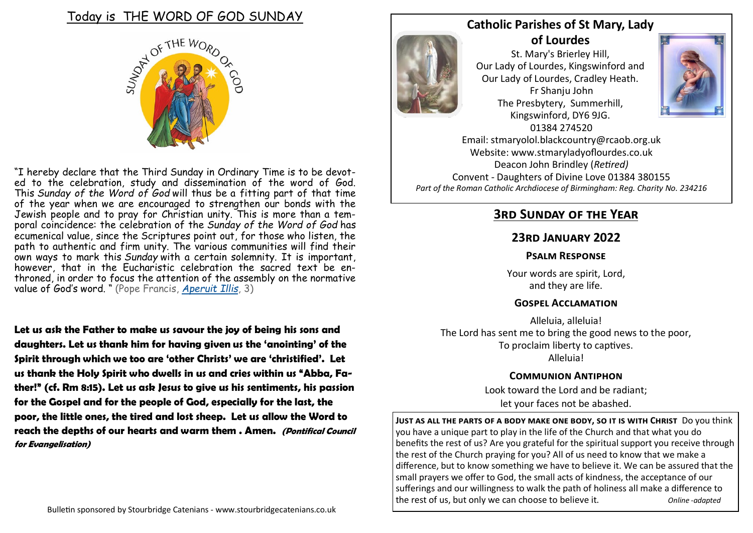

"I hereby declare that the Third Sunday in Ordinary Time is to be devoted to the celebration, study and dissemination of the word of God. This *Sunday of the Word of God* will thus be a fitting part of that time of the year when we are encouraged to strengthen our bonds with the Jewish people and to pray for Christian unity. This is more than a temporal coincidence: the celebration of the *Sunday of the Word of God* has ecumenical value, since the Scriptures point out, for those who listen, the path to authentic and firm unity. The various communities will find their own ways to mark this *Sunday* with a certain solemnity. It is important, however, that in the Eucharistic celebration the sacred text be enthroned, in order to focus the attention of the assembly on the normative value of God's word. " (Pope Francis, *[Aperuit Illis](http://www.vatican.va/content/francesco/en/motu_proprio/documents/papa-francesco-motu-proprio-20190930_aperuit-illis.html)*, 3)

**Let us ask the Father to make us savour the joy of being his sons and daughters. Let us thank him for having given us the 'anointing' of the Spirit through which we too are 'other Christs' we are 'christified'. Let us thank the Holy Spirit who dwells in us and cries within us "Abba, Father!" (cf. Rm 8:15). Let us ask Jesus to give us his sentiments, his passion for the Gospel and for the people of God, especially for the last, the poor, the little ones, the tired and lost sheep. Let us allow the Word to reach the depths of our hearts and warm them . Amen. (Pontifical Council for Evangelisation)**



### **Catholic Parishes of St Mary, Lady of Lourdes**

St. Mary's Brierley Hill, Our Lady of Lourdes, Kingswinford and Our Lady of Lourdes, Cradley Heath. Fr Shanju John The Presbytery, Summerhill, Kingswinford, DY6 9JG. 01384 274520



Email: stmaryolol.blackcountry@rcaob.org.uk Website: www.stmaryladyoflourdes.co.uk Deacon John Brindley (*Retired)* Convent - Daughters of Divine Love 01384 380155 *Part of the Roman Catholic Archdiocese of Birmingham: Reg. Charity No. 234216*

# **3rd Sunday of the Year**

### **23rd January 2022**

#### **Psalm Response**

Your words are spirit, Lord, and they are life.

#### **Gospel Acclamation**

Alleluia, alleluia! The Lord has sent me to bring the good news to the poor, To proclaim liberty to captives. Alleluia!

#### **Communion Antiphon**

Look toward the Lord and be radiant; let your faces not be abashed.

**Just as all the parts of a body make one body, so it is with Christ** Do you think you have a unique part to play in the life of the Church and that what you do benefits the rest of us? Are you grateful for the spiritual support you receive through the rest of the Church praying for you? All of us need to know that we make a difference, but to know something we have to believe it. We can be assured that the small prayers we offer to God, the small acts of kindness, the acceptance of our sufferings and our willingness to walk the path of holiness all make a difference to the rest of us, but only we can choose to believe it. *Online -adapted*